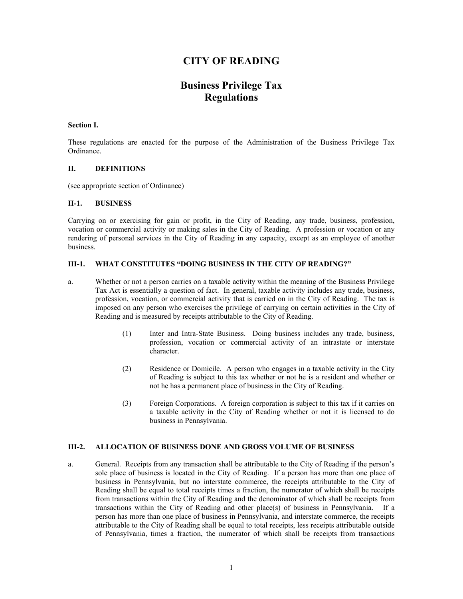# **CITY OF READING**

# **Business Privilege Tax Regulations**

## **Section I.**

These regulations are enacted for the purpose of the Administration of the Business Privilege Tax Ordinance.

## **II. DEFINITIONS**

(see appropriate section of Ordinance)

## **II-1. BUSINESS**

Carrying on or exercising for gain or profit, in the City of Reading, any trade, business, profession, vocation or commercial activity or making sales in the City of Reading. A profession or vocation or any rendering of personal services in the City of Reading in any capacity, except as an employee of another business.

# **III-1. WHAT CONSTITUTES "DOING BUSINESS IN THE CITY OF READING?"**

- a. Whether or not a person carries on a taxable activity within the meaning of the Business Privilege Tax Act is essentially a question of fact. In general, taxable activity includes any trade, business, profession, vocation, or commercial activity that is carried on in the City of Reading. The tax is imposed on any person who exercises the privilege of carrying on certain activities in the City of Reading and is measured by receipts attributable to the City of Reading.
	- (1) Inter and Intra-State Business. Doing business includes any trade, business, profession, vocation or commercial activity of an intrastate or interstate character.
	- (2) Residence or Domicile. A person who engages in a taxable activity in the City of Reading is subject to this tax whether or not he is a resident and whether or not he has a permanent place of business in the City of Reading.
	- (3) Foreign Corporations. A foreign corporation is subject to this tax if it carries on a taxable activity in the City of Reading whether or not it is licensed to do business in Pennsylvania.

# **III-2. ALLOCATION OF BUSINESS DONE AND GROSS VOLUME OF BUSINESS**

a. General. Receipts from any transaction shall be attributable to the City of Reading if the person's sole place of business is located in the City of Reading. If a person has more than one place of business in Pennsylvania, but no interstate commerce, the receipts attributable to the City of Reading shall be equal to total receipts times a fraction, the numerator of which shall be receipts from transactions within the City of Reading and the denominator of which shall be receipts from transactions within the City of Reading and other place(s) of business in Pennsylvania. If a person has more than one place of business in Pennsylvania, and interstate commerce, the receipts attributable to the City of Reading shall be equal to total receipts, less receipts attributable outside of Pennsylvania, times a fraction, the numerator of which shall be receipts from transactions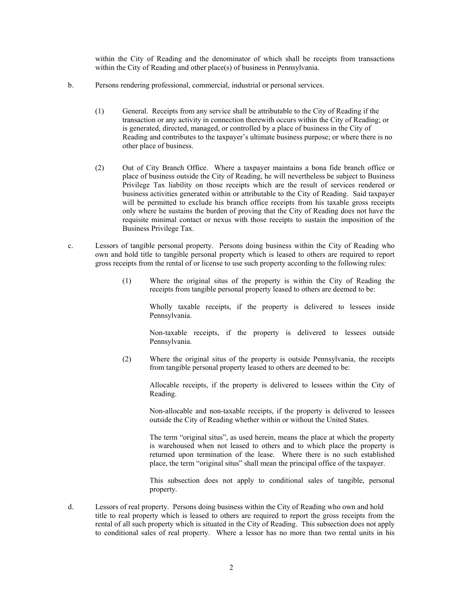within the City of Reading and the denominator of which shall be receipts from transactions within the City of Reading and other place(s) of business in Pennsylvania.

- b. Persons rendering professional, commercial, industrial or personal services.
	- (1) General. Receipts from any service shall be attributable to the City of Reading if the transaction or any activity in connection therewith occurs within the City of Reading; or is generated, directed, managed, or controlled by a place of business in the City of Reading and contributes to the taxpayer's ultimate business purpose; or where there is no other place of business.
	- (2) Out of City Branch Office. Where a taxpayer maintains a bona fide branch office or place of business outside the City of Reading, he will nevertheless be subject to Business Privilege Tax liability on those receipts which are the result of services rendered or business activities generated within or attributable to the City of Reading. Said taxpayer will be permitted to exclude his branch office receipts from his taxable gross receipts only where he sustains the burden of proving that the City of Reading does not have the requisite minimal contact or nexus with those receipts to sustain the imposition of the Business Privilege Tax.
- c. Lessors of tangible personal property. Persons doing business within the City of Reading who own and hold title to tangible personal property which is leased to others are required to report gross receipts from the rental of or license to use such property according to the following rules:
	- (1) Where the original situs of the property is within the City of Reading the receipts from tangible personal property leased to others are deemed to be:

Wholly taxable receipts, if the property is delivered to lessees inside Pennsylvania.

Non-taxable receipts, if the property is delivered to lessees outside Pennsylvania.

(2) Where the original situs of the property is outside Pennsylvania, the receipts from tangible personal property leased to others are deemed to be:

> Allocable receipts, if the property is delivered to lessees within the City of Reading.

> Non-allocable and non-taxable receipts, if the property is delivered to lessees outside the City of Reading whether within or without the United States.

> The term "original situs", as used herein, means the place at which the property is warehoused when not leased to others and to which place the property is returned upon termination of the lease. Where there is no such established place, the term "original situs" shall mean the principal office of the taxpayer.

> This subsection does not apply to conditional sales of tangible, personal property.

d. Lessors of real property. Persons doing business within the City of Reading who own and hold title to real property which is leased to others are required to report the gross receipts from the rental of all such property which is situated in the City of Reading. This subsection does not apply to conditional sales of real property. Where a lessor has no more than two rental units in his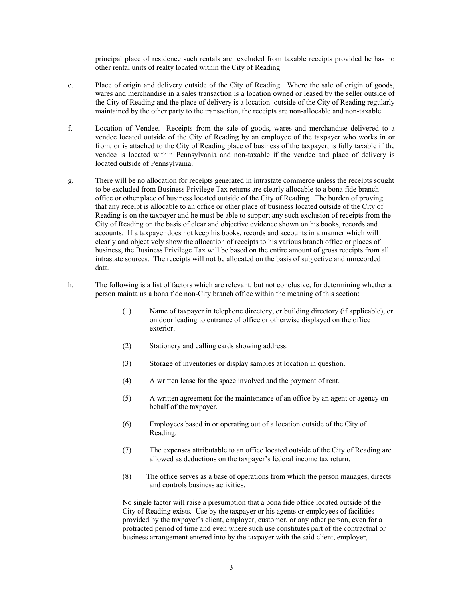principal place of residence such rentals are excluded from taxable receipts provided he has no other rental units of realty located within the City of Reading

- e. Place of origin and delivery outside of the City of Reading. Where the sale of origin of goods, wares and merchandise in a sales transaction is a location owned or leased by the seller outside of the City of Reading and the place of delivery is a location outside of the City of Reading regularly maintained by the other party to the transaction, the receipts are non-allocable and non-taxable.
- f. Location of Vendee. Receipts from the sale of goods, wares and merchandise delivered to a vendee located outside of the City of Reading by an employee of the taxpayer who works in or from, or is attached to the City of Reading place of business of the taxpayer, is fully taxable if the vendee is located within Pennsylvania and non-taxable if the vendee and place of delivery is located outside of Pennsylvania.
- g. There will be no allocation for receipts generated in intrastate commerce unless the receipts sought to be excluded from Business Privilege Tax returns are clearly allocable to a bona fide branch office or other place of business located outside of the City of Reading. The burden of proving that any receipt is allocable to an office or other place of business located outside of the City of Reading is on the taxpayer and he must be able to support any such exclusion of receipts from the City of Reading on the basis of clear and objective evidence shown on his books, records and accounts. If a taxpayer does not keep his books, records and accounts in a manner which will clearly and objectively show the allocation of receipts to his various branch office or places of business, the Business Privilege Tax will be based on the entire amount of gross receipts from all intrastate sources. The receipts will not be allocated on the basis of subjective and unrecorded data.
- h. The following is a list of factors which are relevant, but not conclusive, for determining whether a person maintains a bona fide non-City branch office within the meaning of this section:
	- (1) Name of taxpayer in telephone directory, or building directory (if applicable), or on door leading to entrance of office or otherwise displayed on the office exterior.
	- (2) Stationery and calling cards showing address.
	- (3) Storage of inventories or display samples at location in question.
	- (4) A written lease for the space involved and the payment of rent.
	- (5) A written agreement for the maintenance of an office by an agent or agency on behalf of the taxpayer.
	- (6) Employees based in or operating out of a location outside of the City of Reading.
	- (7) The expenses attributable to an office located outside of the City of Reading are allowed as deductions on the taxpayer's federal income tax return.
	- (8) The office serves as a base of operations from which the person manages, directs and controls business activities.

No single factor will raise a presumption that a bona fide office located outside of the City of Reading exists. Use by the taxpayer or his agents or employees of facilities provided by the taxpayer's client, employer, customer, or any other person, even for a protracted period of time and even where such use constitutes part of the contractual or business arrangement entered into by the taxpayer with the said client, employer,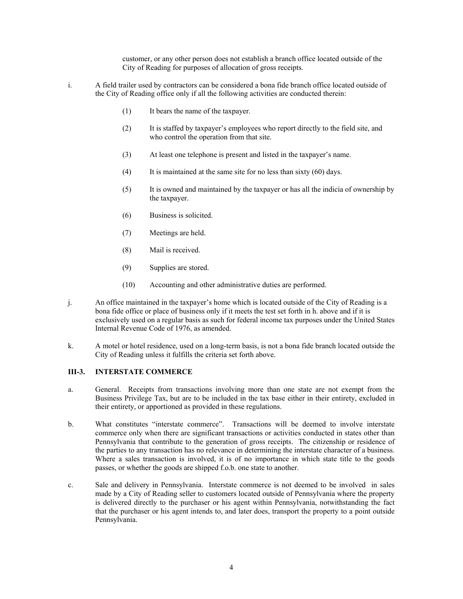customer, or any other person does not establish a branch office located outside of the City of Reading for purposes of allocation of gross receipts.

- i. A field trailer used by contractors can be considered a bona fide branch office located outside of the City of Reading office only if all the following activities are conducted therein:
	- (1) It bears the name of the taxpayer.
	- (2) It is staffed by taxpayer's employees who report directly to the field site, and who control the operation from that site.
	- (3) At least one telephone is present and listed in the taxpayer's name.
	- (4) It is maintained at the same site for no less than sixty (60) days.
	- (5) It is owned and maintained by the taxpayer or has all the indicia of ownership by the taxpayer.
	- (6) Business is solicited.
	- (7) Meetings are held.
	- (8) Mail is received.
	- (9) Supplies are stored.
	- (10) Accounting and other administrative duties are performed.
- j. An office maintained in the taxpayer's home which is located outside of the City of Reading is a bona fide office or place of business only if it meets the test set forth in h. above and if it is exclusively used on a regular basis as such for federal income tax purposes under the United States Internal Revenue Code of 1976, as amended.
- k. A motel or hotel residence, used on a long-term basis, is not a bona fide branch located outside the City of Reading unless it fulfills the criteria set forth above.

#### **III-3. INTERSTATE COMMERCE**

- a. General. Receipts from transactions involving more than one state are not exempt from the Business Privilege Tax, but are to be included in the tax base either in their entirety, excluded in their entirety, or apportioned as provided in these regulations.
- b. What constitutes "interstate commerce". Transactions will be deemed to involve interstate commerce only when there are significant transactions or activities conducted in states other than Pennsylvania that contribute to the generation of gross receipts. The citizenship or residence of the parties to any transaction has no relevance in determining the interstate character of a business. Where a sales transaction is involved, it is of no importance in which state title to the goods passes, or whether the goods are shipped f.o.b. one state to another.
- c. Sale and delivery in Pennsylvania. Interstate commerce is not deemed to be involved in sales made by a City of Reading seller to customers located outside of Pennsylvania where the property is delivered directly to the purchaser or his agent within Pennsylvania, notwithstanding the fact that the purchaser or his agent intends to, and later does, transport the property to a point outside Pennsylvania.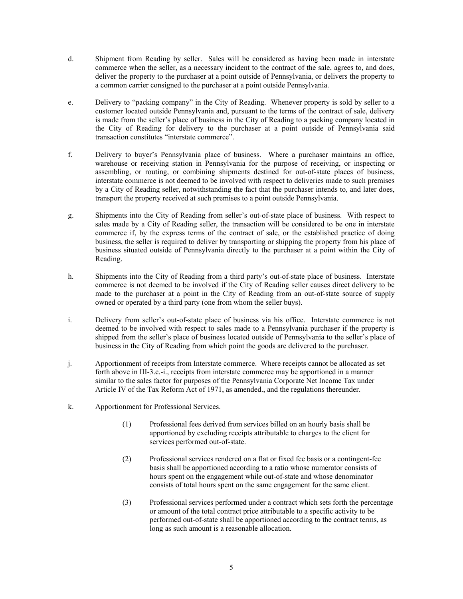- d. Shipment from Reading by seller. Sales will be considered as having been made in interstate commerce when the seller, as a necessary incident to the contract of the sale, agrees to, and does, deliver the property to the purchaser at a point outside of Pennsylvania, or delivers the property to a common carrier consigned to the purchaser at a point outside Pennsylvania.
- e. Delivery to "packing company" in the City of Reading. Whenever property is sold by seller to a customer located outside Pennsylvania and, pursuant to the terms of the contract of sale, delivery is made from the seller's place of business in the City of Reading to a packing company located in the City of Reading for delivery to the purchaser at a point outside of Pennsylvania said transaction constitutes "interstate commerce".
- f. Delivery to buyer's Pennsylvania place of business. Where a purchaser maintains an office, warehouse or receiving station in Pennsylvania for the purpose of receiving, or inspecting or assembling, or routing, or combining shipments destined for out-of-state places of business, interstate commerce is not deemed to be involved with respect to deliveries made to such premises by a City of Reading seller, notwithstanding the fact that the purchaser intends to, and later does, transport the property received at such premises to a point outside Pennsylvania.
- g. Shipments into the City of Reading from seller's out-of-state place of business. With respect to sales made by a City of Reading seller, the transaction will be considered to be one in interstate commerce if, by the express terms of the contract of sale, or the established practice of doing business, the seller is required to deliver by transporting or shipping the property from his place of business situated outside of Pennsylvania directly to the purchaser at a point within the City of Reading.
- h. Shipments into the City of Reading from a third party's out-of-state place of business. Interstate commerce is not deemed to be involved if the City of Reading seller causes direct delivery to be made to the purchaser at a point in the City of Reading from an out-of-state source of supply owned or operated by a third party (one from whom the seller buys).
- i. Delivery from seller's out-of-state place of business via his office. Interstate commerce is not deemed to be involved with respect to sales made to a Pennsylvania purchaser if the property is shipped from the seller's place of business located outside of Pennsylvania to the seller's place of business in the City of Reading from which point the goods are delivered to the purchaser.
- j. Apportionment of receipts from Interstate commerce. Where receipts cannot be allocated as set forth above in III-3.c.-i., receipts from interstate commerce may be apportioned in a manner similar to the sales factor for purposes of the Pennsylvania Corporate Net Income Tax under Article IV of the Tax Reform Act of 1971, as amended., and the regulations thereunder.
- k. Apportionment for Professional Services.
	- (1) Professional fees derived from services billed on an hourly basis shall be apportioned by excluding receipts attributable to charges to the client for services performed out-of-state.
	- (2) Professional services rendered on a flat or fixed fee basis or a contingent-fee basis shall be apportioned according to a ratio whose numerator consists of hours spent on the engagement while out-of-state and whose denominator consists of total hours spent on the same engagement for the same client.
	- (3) Professional services performed under a contract which sets forth the percentage or amount of the total contract price attributable to a specific activity to be performed out-of-state shall be apportioned according to the contract terms, as long as such amount is a reasonable allocation.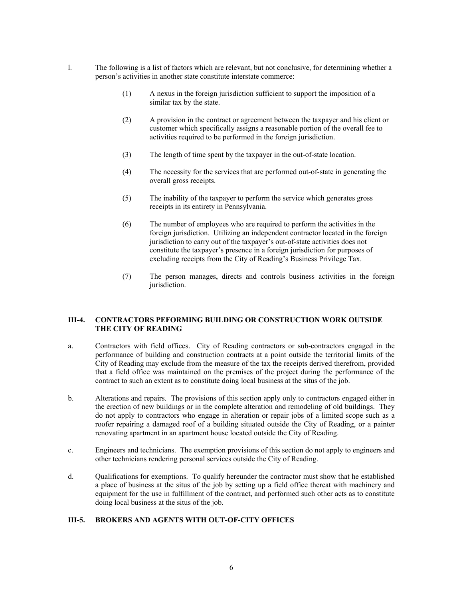- l. The following is a list of factors which are relevant, but not conclusive, for determining whether a person's activities in another state constitute interstate commerce:
	- (1) A nexus in the foreign jurisdiction sufficient to support the imposition of a similar tax by the state.
	- (2) A provision in the contract or agreement between the taxpayer and his client or customer which specifically assigns a reasonable portion of the overall fee to activities required to be performed in the foreign jurisdiction.
	- (3) The length of time spent by the taxpayer in the out-of-state location.
	- (4) The necessity for the services that are performed out-of-state in generating the overall gross receipts.
	- (5) The inability of the taxpayer to perform the service which generates gross receipts in its entirety in Pennsylvania.
	- (6) The number of employees who are required to perform the activities in the foreign jurisdiction. Utilizing an independent contractor located in the foreign jurisdiction to carry out of the taxpayer's out-of-state activities does not constitute the taxpayer's presence in a foreign jurisdiction for purposes of excluding receipts from the City of Reading's Business Privilege Tax.
	- (7) The person manages, directs and controls business activities in the foreign jurisdiction.

# **III-4. CONTRACTORS PEFORMING BUILDING OR CONSTRUCTION WORK OUTSIDE THE CITY OF READING**

- a. Contractors with field offices. City of Reading contractors or sub-contractors engaged in the performance of building and construction contracts at a point outside the territorial limits of the City of Reading may exclude from the measure of the tax the receipts derived therefrom, provided that a field office was maintained on the premises of the project during the performance of the contract to such an extent as to constitute doing local business at the situs of the job.
- b. Alterations and repairs. The provisions of this section apply only to contractors engaged either in the erection of new buildings or in the complete alteration and remodeling of old buildings. They do not apply to contractors who engage in alteration or repair jobs of a limited scope such as a roofer repairing a damaged roof of a building situated outside the City of Reading, or a painter renovating apartment in an apartment house located outside the City of Reading.
- c. Engineers and technicians. The exemption provisions of this section do not apply to engineers and other technicians rendering personal services outside the City of Reading.
- d. Qualifications for exemptions. To qualify hereunder the contractor must show that he established a place of business at the situs of the job by setting up a field office thereat with machinery and equipment for the use in fulfillment of the contract, and performed such other acts as to constitute doing local business at the situs of the job.

# **III-5. BROKERS AND AGENTS WITH OUT-OF-CITY OFFICES**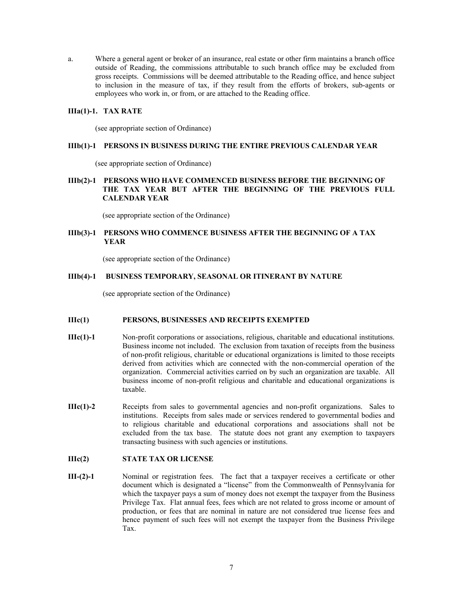a. Where a general agent or broker of an insurance, real estate or other firm maintains a branch office outside of Reading, the commissions attributable to such branch office may be excluded from gross receipts. Commissions will be deemed attributable to the Reading office, and hence subject to inclusion in the measure of tax, if they result from the efforts of brokers, sub-agents or employees who work in, or from, or are attached to the Reading office.

#### **IIIa(1)-1. TAX RATE**

(see appropriate section of Ordinance)

#### **IIIb(1)-1 PERSONS IN BUSINESS DURING THE ENTIRE PREVIOUS CALENDAR YEAR**

(see appropriate section of Ordinance)

# **IIIb(2)-1 PERSONS WHO HAVE COMMENCED BUSINESS BEFORE THE BEGINNING OF THE TAX YEAR BUT AFTER THE BEGINNING OF THE PREVIOUS FULL CALENDAR YEAR**

(see appropriate section of the Ordinance)

# **IIIb(3)-1 PERSONS WHO COMMENCE BUSINESS AFTER THE BEGINNING OF A TAX YEAR**

(see appropriate section of the Ordinance)

## **IIIb(4)-1 BUSINESS TEMPORARY, SEASONAL OR ITINERANT BY NATURE**

(see appropriate section of the Ordinance)

#### **IIIc(1) PERSONS, BUSINESSES AND RECEIPTS EXEMPTED**

- **IIIc(1)-1** Non-profit corporations or associations, religious, charitable and educational institutions. Business income not included. The exclusion from taxation of receipts from the business of non-profit religious, charitable or educational organizations is limited to those receipts derived from activities which are connected with the non-commercial operation of the organization. Commercial activities carried on by such an organization are taxable. All business income of non-profit religious and charitable and educational organizations is taxable.
- **IIIc(1)-2** Receipts from sales to governmental agencies and non-profit organizations. Sales to institutions. Receipts from sales made or services rendered to governmental bodies and to religious charitable and educational corporations and associations shall not be excluded from the tax base. The statute does not grant any exemption to taxpayers transacting business with such agencies or institutions.

#### **IIIc(2) STATE TAX OR LICENSE**

**III-(2)-1** Nominal or registration fees. The fact that a taxpayer receives a certificate or other document which is designated a "license" from the Commonwealth of Pennsylvania for which the taxpayer pays a sum of money does not exempt the taxpayer from the Business Privilege Tax. Flat annual fees, fees which are not related to gross income or amount of production, or fees that are nominal in nature are not considered true license fees and hence payment of such fees will not exempt the taxpayer from the Business Privilege Tax.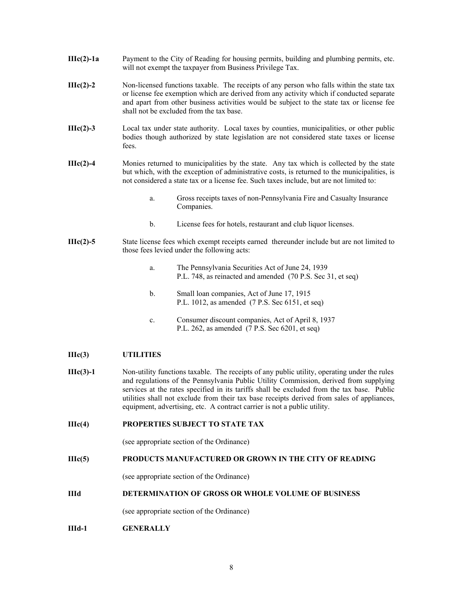- **IIIc(2)-1a** Payment to the City of Reading for housing permits, building and plumbing permits, etc. will not exempt the taxpayer from Business Privilege Tax.
- **IIIc(2)-2** Non-licensed functions taxable. The receipts of any person who falls within the state tax or license fee exemption which are derived from any activity which if conducted separate and apart from other business activities would be subject to the state tax or license fee shall not be excluded from the tax base.
- **IIIc(2)-3** Local tax under state authority. Local taxes by counties, municipalities, or other public bodies though authorized by state legislation are not considered state taxes or license fees.
- **IIIc(2)-4** Monies returned to municipalities by the state. Any tax which is collected by the state but which, with the exception of administrative costs, is returned to the municipalities, is not considered a state tax or a license fee. Such taxes include, but are not limited to:
	- a. Gross receipts taxes of non-Pennsylvania Fire and Casualty Insurance Companies.
	- b. License fees for hotels, restaurant and club liquor licenses.
- **IIIc(2)-5** State license fees which exempt receipts earned thereunder include but are not limited to those fees levied under the following acts:
	- a. The Pennsylvania Securities Act of June 24, 1939 P.L. 748, as reinacted and amended (70 P.S. Sec 31, et seq)
	- b. Small loan companies, Act of June 17, 1915 P.L. 1012, as amended (7 P.S. Sec 6151, et seq)
	- c. Consumer discount companies, Act of April 8, 1937 P.L. 262, as amended (7 P.S. Sec 6201, et seq)

# **IIIc(3) UTILITIES**

- **IIIc(3)-1** Non-utility functions taxable. The receipts of any public utility, operating under the rules and regulations of the Pennsylvania Public Utility Commission, derived from supplying services at the rates specified in its tariffs shall be excluded from the tax base. Public utilities shall not exclude from their tax base receipts derived from sales of appliances, equipment, advertising, etc. A contract carrier is not a public utility.
- **IIIc(4) PROPERTIES SUBJECT TO STATE TAX**

(see appropriate section of the Ordinance)

# **IIIc(5) PRODUCTS MANUFACTURED OR GROWN IN THE CITY OF READING**

(see appropriate section of the Ordinance)

#### **IIId DETERMINATION OF GROSS OR WHOLE VOLUME OF BUSINESS**

(see appropriate section of the Ordinance)

**IIId-1 GENERALLY**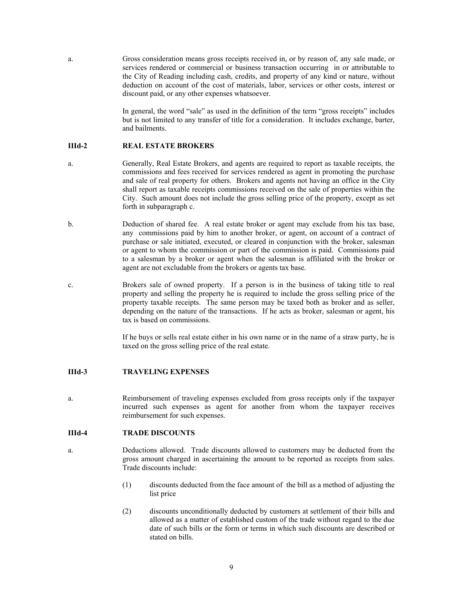a. Gross consideration means gross receipts received in, or by reason of, any sale made, or services rendered or commercial or business transaction occurring in or attributable to the City of Reading including cash, credits, and property of any kind or nature, without deduction on account of the cost of materials, labor, services or other costs, interest or discount paid, or any other expenses whatsoever.

> In general, the word "sale" as used in the definition of the term "gross receipts" includes but is not limited to any transfer of title for a consideration. It includes exchange, barter, and bailments.

#### **IIId-2 REAL ESTATE BROKERS**

- a. Generally, Real Estate Brokers, and agents are required to report as taxable receipts, the commissions and fees received for services rendered as agent in promoting the purchase and sale of real property for others. Brokers and agents not having an office in the City shall report as taxable receipts commissions received on the sale of properties within the City. Such amount does not include the gross selling price of the property, except as set forth in subparagraph c.
- b. Deduction of shared fee. A real estate broker or agent may exclude from his tax base, any commissions paid by him to another broker, or agent, on account of a contract of purchase or sale initiated, executed, or cleared in conjunction with the broker, salesman or agent to whom the commission or part of the commission is paid. Commissions paid to a salesman by a broker or agent when the salesman is affiliated with the broker or agent are not excludable from the brokers or agents tax base.
- c. Brokers sale of owned property. If a person is in the business of taking title to real property and selling the property he is required to include the gross selling price of the property taxable receipts. The same person may be taxed both as broker and as seller, depending on the nature of the transactions. If he acts as broker, salesman or agent, his tax is based on commissions.

If he buys or sells real estate either in his own name or in the name of a straw party, he is taxed on the gross selling price of the real estate.

# **IIId-3 TRAVELING EXPENSES**

a. Reimbursement of traveling expenses excluded from gross receipts only if the taxpayer incurred such expenses as agent for another from whom the taxpayer receives reimbursement for such expenses.

## **IIId-4 TRADE DISCOUNTS**

- a. Deductions allowed. Trade discounts allowed to customers may be deducted from the gross amount charged in ascertaining the amount to be reported as receipts from sales. Trade discounts include:
	- (1) discounts deducted from the face amount of the bill as a method of adjusting the list price
	- (2) discounts unconditionally deducted by customers at settlement of their bills and allowed as a matter of established custom of the trade without regard to the due date of such bills or the form or terms in which such discounts are described or stated on bills.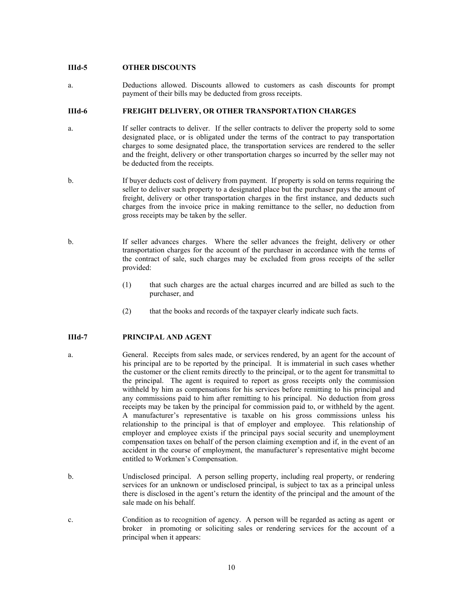#### **IIId-5 OTHER DISCOUNTS**

a. Deductions allowed. Discounts allowed to customers as cash discounts for prompt payment of their bills may be deducted from gross receipts.

# **IIId-6 FREIGHT DELIVERY, OR OTHER TRANSPORTATION CHARGES**

- a. If seller contracts to deliver. If the seller contracts to deliver the property sold to some designated place, or is obligated under the terms of the contract to pay transportation charges to some designated place, the transportation services are rendered to the seller and the freight, delivery or other transportation charges so incurred by the seller may not be deducted from the receipts.
- b. If buyer deducts cost of delivery from payment. If property is sold on terms requiring the seller to deliver such property to a designated place but the purchaser pays the amount of freight, delivery or other transportation charges in the first instance, and deducts such charges from the invoice price in making remittance to the seller, no deduction from gross receipts may be taken by the seller.
- b. If seller advances charges. Where the seller advances the freight, delivery or other transportation charges for the account of the purchaser in accordance with the terms of the contract of sale, such charges may be excluded from gross receipts of the seller provided:
	- (1) that such charges are the actual charges incurred and are billed as such to the purchaser, and
	- (2) that the books and records of the taxpayer clearly indicate such facts.

# **IIId-7 PRINCIPAL AND AGENT**

- a. General. Receipts from sales made, or services rendered, by an agent for the account of his principal are to be reported by the principal. It is immaterial in such cases whether the customer or the client remits directly to the principal, or to the agent for transmittal to the principal. The agent is required to report as gross receipts only the commission withheld by him as compensations for his services before remitting to his principal and any commissions paid to him after remitting to his principal. No deduction from gross receipts may be taken by the principal for commission paid to, or withheld by the agent. A manufacturer's representative is taxable on his gross commissions unless his relationship to the principal is that of employer and employee. This relationship of employer and employee exists if the principal pays social security and unemployment compensation taxes on behalf of the person claiming exemption and if, in the event of an accident in the course of employment, the manufacturer's representative might become entitled to Workmen's Compensation.
- b. Undisclosed principal. A person selling property, including real property, or rendering services for an unknown or undisclosed principal, is subject to tax as a principal unless there is disclosed in the agent's return the identity of the principal and the amount of the sale made on his behalf.
- c. Condition as to recognition of agency. A person will be regarded as acting as agent or broker in promoting or soliciting sales or rendering services for the account of a principal when it appears: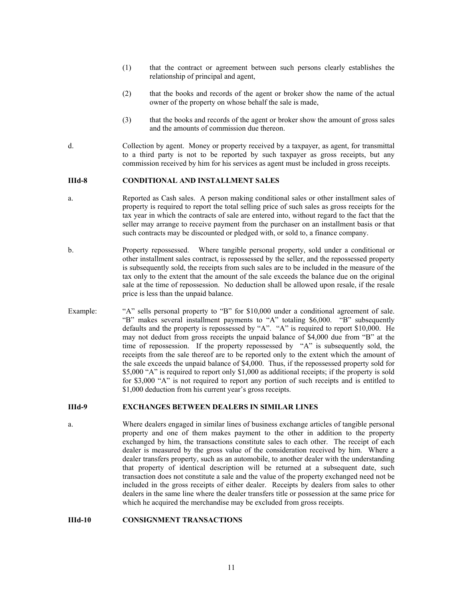- (1) that the contract or agreement between such persons clearly establishes the relationship of principal and agent,
- (2) that the books and records of the agent or broker show the name of the actual owner of the property on whose behalf the sale is made,
- (3) that the books and records of the agent or broker show the amount of gross sales and the amounts of commission due thereon.
- d. Collection by agent. Money or property received by a taxpayer, as agent, for transmittal to a third party is not to be reported by such taxpayer as gross receipts, but any commission received by him for his services as agent must be included in gross receipts.

#### **IIId-8 CONDITIONAL AND INSTALLMENT SALES**

- a. Reported as Cash sales. A person making conditional sales or other installment sales of property is required to report the total selling price of such sales as gross receipts for the tax year in which the contracts of sale are entered into, without regard to the fact that the seller may arrange to receive payment from the purchaser on an installment basis or that such contracts may be discounted or pledged with, or sold to, a finance company.
- b. Property repossessed. Where tangible personal property, sold under a conditional or other installment sales contract, is repossessed by the seller, and the repossessed property is subsequently sold, the receipts from such sales are to be included in the measure of the tax only to the extent that the amount of the sale exceeds the balance due on the original sale at the time of repossession. No deduction shall be allowed upon resale, if the resale price is less than the unpaid balance.
- Example: "A" sells personal property to "B" for \$10,000 under a conditional agreement of sale. "B" makes several installment payments to "A" totaling \$6,000. "B" subsequently defaults and the property is repossessed by "A". "A" is required to report \$10,000. He may not deduct from gross receipts the unpaid balance of \$4,000 due from "B" at the time of repossession. If the property repossessed by "A" is subsequently sold, the receipts from the sale thereof are to be reported only to the extent which the amount of the sale exceeds the unpaid balance of \$4,000. Thus, if the repossessed property sold for \$5,000 "A" is required to report only \$1,000 as additional receipts; if the property is sold for \$3,000 "A" is not required to report any portion of such receipts and is entitled to \$1,000 deduction from his current year's gross receipts.

#### **IIId-9 EXCHANGES BETWEEN DEALERS IN SIMILAR LINES**

a. Where dealers engaged in similar lines of business exchange articles of tangible personal property and one of them makes payment to the other in addition to the property exchanged by him, the transactions constitute sales to each other. The receipt of each dealer is measured by the gross value of the consideration received by him. Where a dealer transfers property, such as an automobile, to another dealer with the understanding that property of identical description will be returned at a subsequent date, such transaction does not constitute a sale and the value of the property exchanged need not be included in the gross receipts of either dealer. Receipts by dealers from sales to other dealers in the same line where the dealer transfers title or possession at the same price for which he acquired the merchandise may be excluded from gross receipts.

# **IIId-10 CONSIGNMENT TRANSACTIONS**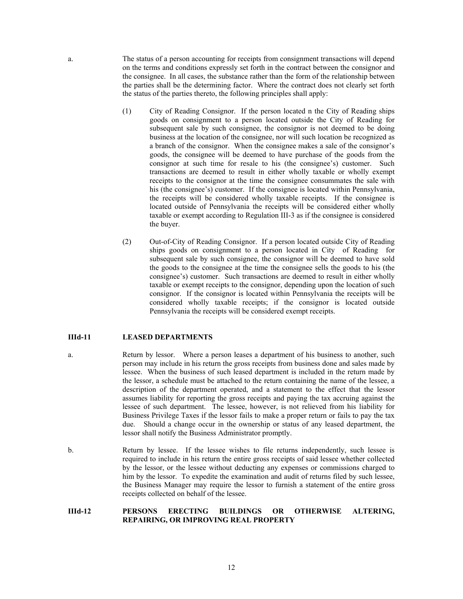a. The status of a person accounting for receipts from consignment transactions will depend on the terms and conditions expressly set forth in the contract between the consignor and the consignee. In all cases, the substance rather than the form of the relationship between the parties shall be the determining factor. Where the contract does not clearly set forth the status of the parties thereto, the following principles shall apply:

- (1) City of Reading Consignor. If the person located n the City of Reading ships goods on consignment to a person located outside the City of Reading for subsequent sale by such consignee, the consignor is not deemed to be doing business at the location of the consignee, nor will such location be recognized as a branch of the consignor. When the consignee makes a sale of the consignor's goods, the consignee will be deemed to have purchase of the goods from the consignor at such time for resale to his (the consignee's) customer. Such transactions are deemed to result in either wholly taxable or wholly exempt receipts to the consignor at the time the consignee consummates the sale with his (the consignee's) customer. If the consignee is located within Pennsylvania, the receipts will be considered wholly taxable receipts. If the consignee is located outside of Pennsylvania the receipts will be considered either wholly taxable or exempt according to Regulation III-3 as if the consignee is considered the buyer.
- (2) Out-of-City of Reading Consignor. If a person located outside City of Reading ships goods on consignment to a person located in City of Reading for subsequent sale by such consignee, the consignor will be deemed to have sold the goods to the consignee at the time the consignee sells the goods to his (the consignee's) customer. Such transactions are deemed to result in either wholly taxable or exempt receipts to the consignor, depending upon the location of such consignor. If the consignor is located within Pennsylvania the receipts will be considered wholly taxable receipts; if the consignor is located outside Pennsylvania the receipts will be considered exempt receipts.

#### **IIId-11 LEASED DEPARTMENTS**

- a. Return by lessor. Where a person leases a department of his business to another, such person may include in his return the gross receipts from business done and sales made by lessee. When the business of such leased department is included in the return made by the lessor, a schedule must be attached to the return containing the name of the lessee, a description of the department operated, and a statement to the effect that the lessor assumes liability for reporting the gross receipts and paying the tax accruing against the lessee of such department. The lessee, however, is not relieved from his liability for Business Privilege Taxes if the lessor fails to make a proper return or fails to pay the tax due. Should a change occur in the ownership or status of any leased department, the lessor shall notify the Business Administrator promptly.
- b. Return by lessee. If the lessee wishes to file returns independently, such lessee is required to include in his return the entire gross receipts of said lessee whether collected by the lessor, or the lessee without deducting any expenses or commissions charged to him by the lessor. To expedite the examination and audit of returns filed by such lessee, the Business Manager may require the lessor to furnish a statement of the entire gross receipts collected on behalf of the lessee.

#### **IIId-12 PERSONS ERECTING BUILDINGS OR OTHERWISE ALTERING, REPAIRING, OR IMPROVING REAL PROPERTY**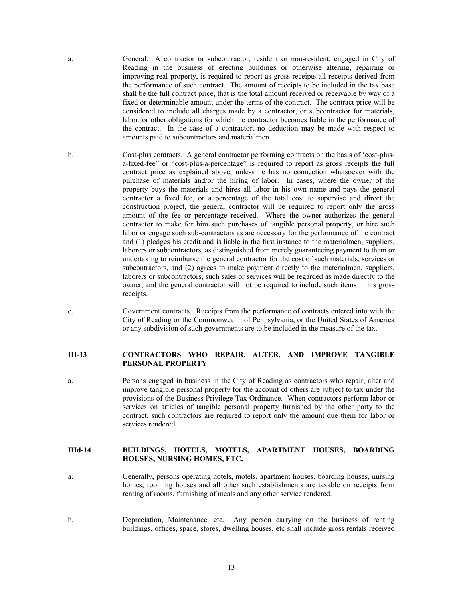a. General. A contractor or subcontractor, resident or non-resident, engaged in City of Reading in the business of erecting buildings or otherwise altering, repairing or improving real property, is required to report as gross receipts all receipts derived from the performance of such contract. The amount of receipts to be included in the tax base shall be the full contract price, that is the total amount received or receivable by way of a fixed or determinable amount under the terms of the contract. The contract price will be considered to include all charges made by a contractor, or subcontractor for materials, labor, or other obligations for which the contractor becomes liable in the performance of the contract. In the case of a contractor, no deduction may be made with respect to amounts paid to subcontractors and materialmen.

b. Cost-plus contracts. A general contractor performing contracts on the basis of 'cost-plusa-fixed-fee" or "cost-plus-a-percentage" is required to report as gross receipts the full contract price as explained above; unless he has no connection whatsoever with the purchase of materials and/or the hiring of labor. In cases, where the owner of the property buys the materials and hires all labor in his own name and pays the general contractor a fixed fee, or a percentage of the total cost to supervise and direct the construction project, the general contractor will be required to report only the gross amount of the fee or percentage received. Where the owner authorizes the general contractor to make for him such purchases of tangible personal property, or hire such labor or engage such sub-contractors as are necessary for the performance of the contract and (1) pledges his credit and is liable in the first instance to the materialmen, suppliers, laborers or subcontractors, as distinguished from merely guaranteeing payment to them or undertaking to reimburse the general contractor for the cost of such materials, services or subcontractors, and (2) agrees to make payment directly to the materialmen, suppliers, laborers or subcontractors, such sales or services will be regarded as made directly to the owner, and the general contractor will not be required to include such items in his gross receipts.

c. Government contracts. Receipts from the performance of contracts entered into with the City of Reading or the Commonwealth of Pennsylvania, or the United States of America or any subdivision of such governments are to be included in the measure of the tax.

## **III-13 CONTRACTORS WHO REPAIR, ALTER, AND IMPROVE TANGIBLE PERSONAL PROPERTY**

a. Persons engaged in business in the City of Reading as contractors who repair, alter and improve tangible personal property for the account of others are subject to tax under the provisions of the Business Privilege Tax Ordinance. When contractors perform labor or services on articles of tangible personal property furnished by the other party to the contract, such contractors are required to report only the amount due them for labor or services rendered.

# **IIId-14 BUILDINGS, HOTELS, MOTELS, APARTMENT HOUSES, BOARDING HOUSES, NURSING HOMES, ETC.**

- a. Generally, persons operating hotels, motels, apartment houses, boarding houses, nursing homes, rooming houses and all other such establishments are taxable on receipts from renting of rooms, furnishing of meals and any other service rendered.
- b. Depreciation, Maintenance, etc. Any person carrying on the business of renting buildings, offices, space, stores, dwelling houses, etc shall include gross rentals received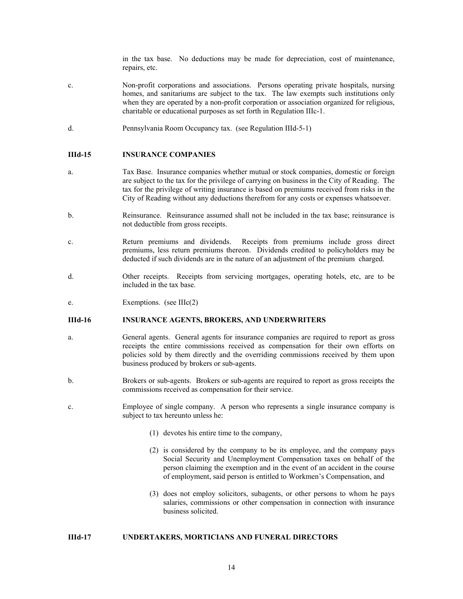in the tax base. No deductions may be made for depreciation, cost of maintenance, repairs, etc.

- c. Non-profit corporations and associations. Persons operating private hospitals, nursing homes, and sanitariums are subject to the tax. The law exempts such institutions only when they are operated by a non-profit corporation or association organized for religious, charitable or educational purposes as set forth in Regulation IIIc-1.
- d. Pennsylvania Room Occupancy tax. (see Regulation IIId-5-1)

#### **IIId-15 INSURANCE COMPANIES**

- a. Tax Base. Insurance companies whether mutual or stock companies, domestic or foreign are subject to the tax for the privilege of carrying on business in the City of Reading. The tax for the privilege of writing insurance is based on premiums received from risks in the City of Reading without any deductions therefrom for any costs or expenses whatsoever.
- b. Reinsurance. Reinsurance assumed shall not be included in the tax base; reinsurance is not deductible from gross receipts.
- c. Return premiums and dividends. Receipts from premiums include gross direct premiums, less return premiums thereon. Dividends credited to policyholders may be deducted if such dividends are in the nature of an adjustment of the premium charged.
- d. Other receipts. Receipts from servicing mortgages, operating hotels, etc, are to be included in the tax base.
- e. Exemptions. (see IIIc(2)

#### **IIId-16 INSURANCE AGENTS, BROKERS, AND UNDERWRITERS**

- a. General agents. General agents for insurance companies are required to report as gross receipts the entire commissions received as compensation for their own efforts on policies sold by them directly and the overriding commissions received by them upon business produced by brokers or sub-agents.
- b. Brokers or sub-agents. Brokers or sub-agents are required to report as gross receipts the commissions received as compensation for their service.
- c. Employee of single company. A person who represents a single insurance company is subject to tax hereunto unless he:
	- (1) devotes his entire time to the company,
	- (2) is considered by the company to be its employee, and the company pays Social Security and Unemployment Compensation taxes on behalf of the person claiming the exemption and in the event of an accident in the course of employment, said person is entitled to Workmen's Compensation, and
	- (3) does not employ solicitors, subagents, or other persons to whom he pays salaries, commissions or other compensation in connection with insurance business solicited.

#### **IIId-17 UNDERTAKERS, MORTICIANS AND FUNERAL DIRECTORS**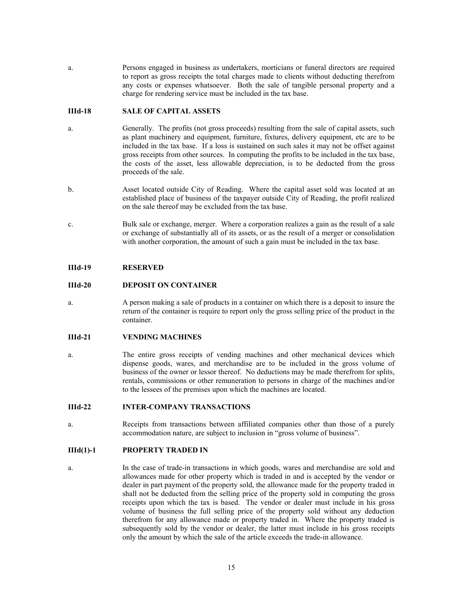a. Persons engaged in business as undertakers, morticians or funeral directors are required to report as gross receipts the total charges made to clients without deducting therefrom any costs or expenses whatsoever. Both the sale of tangible personal property and a charge for rendering service must be included in the tax base.

## **IIId-18 SALE OF CAPITAL ASSETS**

- a. Generally. The profits (not gross proceeds) resulting from the sale of capital assets, such as plant machinery and equipment, furniture, fixtures, delivery equipment, etc are to be included in the tax base. If a loss is sustained on such sales it may not be offset against gross receipts from other sources. In computing the profits to be included in the tax base, the costs of the asset, less allowable depreciation, is to be deducted from the gross proceeds of the sale.
- b. Asset located outside City of Reading. Where the capital asset sold was located at an established place of business of the taxpayer outside City of Reading, the profit realized on the sale thereof may be excluded from the tax base.
- c. Bulk sale or exchange, merger. Where a corporation realizes a gain as the result of a sale or exchange of substantially all of its assets, or as the result of a merger or consolidation with another corporation, the amount of such a gain must be included in the tax base.

## **IIId-19 RESERVED**

## **IIId-20 DEPOSIT ON CONTAINER**

a. A person making a sale of products in a container on which there is a deposit to insure the return of the container is require to report only the gross selling price of the product in the container.

#### **IIId-21 VENDING MACHINES**

a. The entire gross receipts of vending machines and other mechanical devices which dispense goods, wares, and merchandise are to be included in the gross volume of business of the owner or lessor thereof. No deductions may be made therefrom for splits, rentals, commissions or other remuneration to persons in charge of the machines and/or to the lessees of the premises upon which the machines are located.

## **IIId-22 INTER-COMPANY TRANSACTIONS**

a. Receipts from transactions between affiliated companies other than those of a purely accommodation nature, are subject to inclusion in "gross volume of business".

# **IIId(1)-1 PROPERTY TRADED IN**

a. In the case of trade-in transactions in which goods, wares and merchandise are sold and allowances made for other property which is traded in and is accepted by the vendor or dealer in part payment of the property sold, the allowance made for the property traded in shall not be deducted from the selling price of the property sold in computing the gross receipts upon which the tax is based. The vendor or dealer must include in his gross volume of business the full selling price of the property sold without any deduction therefrom for any allowance made or property traded in. Where the property traded is subsequently sold by the vendor or dealer, the latter must include in his gross receipts only the amount by which the sale of the article exceeds the trade-in allowance.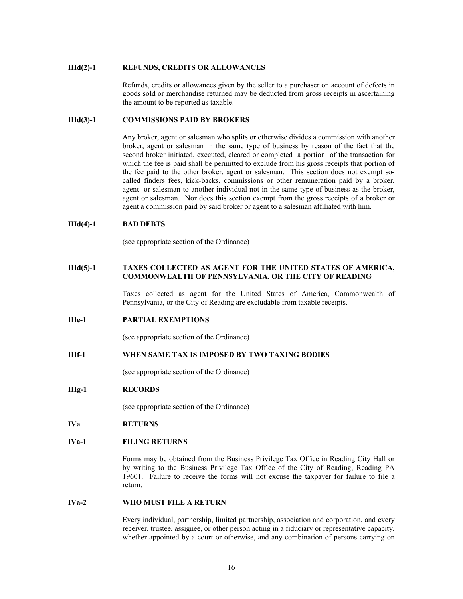#### **IIId(2)-1 REFUNDS, CREDITS OR ALLOWANCES**

Refunds, credits or allowances given by the seller to a purchaser on account of defects in goods sold or merchandise returned may be deducted from gross receipts in ascertaining the amount to be reported as taxable.

#### **IIId(3)-1 COMMISSIONS PAID BY BROKERS**

Any broker, agent or salesman who splits or otherwise divides a commission with another broker, agent or salesman in the same type of business by reason of the fact that the second broker initiated, executed, cleared or completed a portion of the transaction for which the fee is paid shall be permitted to exclude from his gross receipts that portion of the fee paid to the other broker, agent or salesman. This section does not exempt socalled finders fees, kick-backs, commissions or other remuneration paid by a broker, agent or salesman to another individual not in the same type of business as the broker, agent or salesman. Nor does this section exempt from the gross receipts of a broker or agent a commission paid by said broker or agent to a salesman affiliated with him.

#### **IIId(4)-1 BAD DEBTS**

(see appropriate section of the Ordinance)

## **IIId(5)-1 TAXES COLLECTED AS AGENT FOR THE UNITED STATES OF AMERICA, COMMONWEALTH OF PENNSYLVANIA, OR THE CITY OF READING**

 Taxes collected as agent for the United States of America, Commonwealth of Pennsylvania, or the City of Reading are excludable from taxable receipts.

#### **IIIe-1 PARTIAL EXEMPTIONS**

(see appropriate section of the Ordinance)

# **IIIf-1 WHEN SAME TAX IS IMPOSED BY TWO TAXING BODIES**

(see appropriate section of the Ordinance)

#### **IIIg-1 RECORDS**

(see appropriate section of the Ordinance)

## **IVa RETURNS**

# **IVa-1 FILING RETURNS**

 Forms may be obtained from the Business Privilege Tax Office in Reading City Hall or by writing to the Business Privilege Tax Office of the City of Reading, Reading PA 19601. Failure to receive the forms will not excuse the taxpayer for failure to file a return.

#### **IVa-2 WHO MUST FILE A RETURN**

Every individual, partnership, limited partnership, association and corporation, and every receiver, trustee, assignee, or other person acting in a fiduciary or representative capacity, whether appointed by a court or otherwise, and any combination of persons carrying on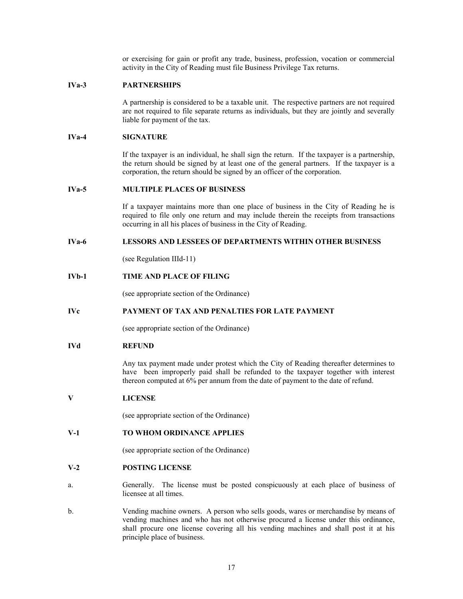or exercising for gain or profit any trade, business, profession, vocation or commercial activity in the City of Reading must file Business Privilege Tax returns.

## **IVa-3 PARTNERSHIPS**

A partnership is considered to be a taxable unit. The respective partners are not required are not required to file separate returns as individuals, but they are jointly and severally liable for payment of the tax.

# **IVa-4 SIGNATURE**

If the taxpayer is an individual, he shall sign the return. If the taxpayer is a partnership, the return should be signed by at least one of the general partners. If the taxpayer is a corporation, the return should be signed by an officer of the corporation.

#### **IVa-5 MULTIPLE PLACES OF BUSINESS**

If a taxpayer maintains more than one place of business in the City of Reading he is required to file only one return and may include therein the receipts from transactions occurring in all his places of business in the City of Reading.

# **IVa-6 LESSORS AND LESSEES OF DEPARTMENTS WITHIN OTHER BUSINESS**

(see Regulation IIId-11)

# **IVb-1 TIME AND PLACE OF FILING**

(see appropriate section of the Ordinance)

# **IVc PAYMENT OF TAX AND PENALTIES FOR LATE PAYMENT**

(see appropriate section of the Ordinance)

# **IVd REFUND**

Any tax payment made under protest which the City of Reading thereafter determines to have been improperly paid shall be refunded to the taxpayer together with interest thereon computed at 6% per annum from the date of payment to the date of refund.

#### **V LICENSE**

(see appropriate section of the Ordinance)

# **V-1 TO WHOM ORDINANCE APPLIES**

(see appropriate section of the Ordinance)

#### **V-2 POSTING LICENSE**

- a. Generally. The license must be posted conspicuously at each place of business of licensee at all times.
- b. Vending machine owners. A person who sells goods, wares or merchandise by means of vending machines and who has not otherwise procured a license under this ordinance, shall procure one license covering all his vending machines and shall post it at his principle place of business.